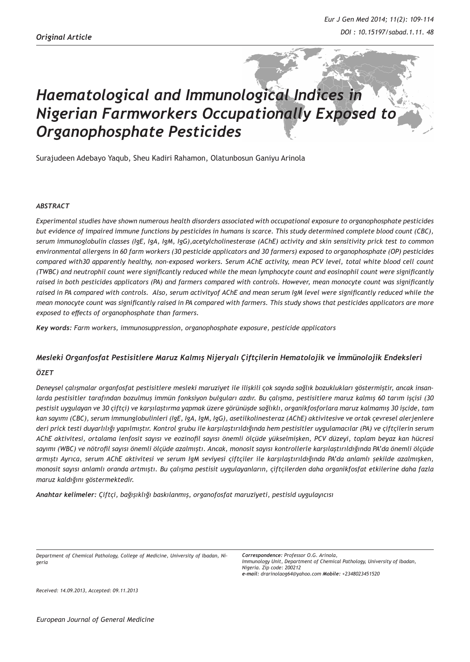# *Haematological and Immunological Indices in Nigerian Farmworkers Occupationally Exposed to Organophosphate Pesticides*

Surajudeen Adebayo Yaqub, Sheu Kadiri Rahamon, Olatunbosun Ganiyu Arinola

#### *ABSTRACT*

*Experimental studies have shown numerous health disorders associated with occupational exposure to organophosphate pesticides but evidence of impaired immune functions by pesticides in humans is scarce. This study determined complete blood count (CBC), serum immunoglobulin classes (IgE, IgA, IgM, IgG),acetylcholinesterase (AChE) activity and skin sensitivity prick test to common environmental allergens in 60 farm workers (30 pesticide applicators and 30 farmers) exposed to organophosphate (OP) pesticides compared with30 apparently healthy, non-exposed workers. Serum AChE activity, mean PCV level, total white blood cell count (TWBC) and neutrophil count were significantly reduced while the mean lymphocyte count and eosinophil count were significantly raised in both pesticides applicators (PA) and farmers compared with controls. However, mean monocyte count was significantly raised in PA compared with controls. Also, serum activityof AChE and mean serum IgM level were significantly reduced while the mean monocyte count was significantly raised in PA compared with farmers. This study shows that pesticides applicators are more exposed to effects of organophosphate than farmers.*

*Key words: Farm workers, immunosuppression, organophosphate exposure, pesticide applicators*

## *Mesleki Organfosfat Pestisitlere Maruz Kalmış Nijeryalı Çiftçilerin Hematolojik ve İmmünolojik Endeksleri ÖZET*

*Deneysel çalışmalar organfosfat pestisitlere mesleki maruziyet ile ilişkili çok sayıda sağlık bozuklukları göstermiştir, ancak insanlarda pestisitler tarafından bozulmuş immün fonksiyon bulguları azdır. Bu çalışma, pestisitlere maruz kalmış 60 tarım işçisi (30 pestisit uygulayan ve 30 çiftçi) ve karşılaştırma yapmak üzere görünüşde sağlıklı, organikfosforlara maruz kalmamış 30 işcide, tam kan sayımı (CBC), serum immunglobulinleri (IgE, IgA, IgM, IgG), asetilkolinesteraz (AChE) aktivitesive ve ortak çevresel alerjenlere deri prick testi duyarlılığı yapılmıştır. Kontrol grubu ile karşılaştırıldığında hem pestisitler uygulamacılar (PA) ve çiftçilerin serum AChE aktivitesi, ortalama lenfosit sayısı ve eozinofil sayısı önemli ölçüde yükselmişken, PCV düzeyi, toplam beyaz kan hücresi sayımı (WBC) ve nötrofil sayısı önemli ölçüde azalmıştı. Ancak, monosit sayısı kontrollerle karşılaştırıldığında PA'da önemli ölçüde armıştı Ayrıca, serum AChE aktivitesi ve serum IgM seviyesi çiftçiler ile karşılaştırıldığında PA'da anlamlı şekilde azalmışken, monosit sayısı anlamlı oranda artmıştı. Bu çalışma pestisit uygulayanların, çiftçilerden daha organikfosfat etkilerine daha fazla maruz kaldığını göstermektedir.*

*Anahtar kelimeler: Çiftçi, bağışıklığı baskılanmış, organofosfat maruziyeti, pestisid uygulayıcısı*

*Department of Chemical Pathology, College of Medicine, University of Ibadan, Nigeria*

*Received: 14.09.2013, Accepted: 09.11.2013*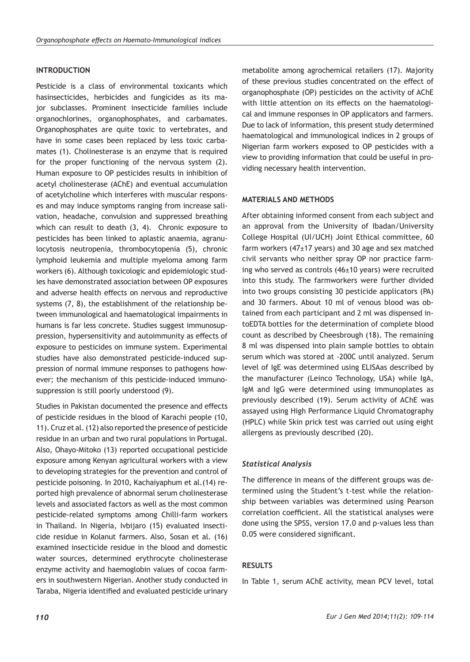### **INTRODUCTION**

Pesticide is a class of environmental toxicants which hasinsecticides, herbicides and fungicides as its major subclasses. Prominent insecticide families include organochlorines, organophosphates, and carbamates. Organophosphates are quite toxic to vertebrates, and have in some cases been replaced by less toxic carbamates (1). Cholinesterase is an enzyme that is required for the proper functioning of the nervous system (2). Human exposure to OP pesticides results in inhibition of acetyl cholinesterase (AChE) and eventual accumulation of acetylcholine which interferes with muscular responses and may induce symptoms ranging from increase salivation, headache, convulsion and suppressed breathing which can result to death (3, 4). Chronic exposure to pesticides has been linked to aplastic anaemia, agranulocytosis neutropenia, thrombocytopenia (5), chronic lymphoid leukemia and multiple myeloma among farm workers (6). Although toxicologic and epidemiologic studies have demonstrated association between OP exposures and adverse health effects on nervous and reproductive systems (7, 8), the establishment of the relationship between immunological and haematological impairments in humans is far less concrete. Studies suggest immunosuppression, hypersensitivity and autoimmunity as effects of exposure to pesticides on immune system. Experimental studies have also demonstrated pesticide-induced suppression of normal immune responses to pathogens however; the mechanism of this pesticide-induced immunosuppression is still poorly understood (9).

Studies in Pakistan documented the presence and effects of pesticide residues in the blood of Karachi people (10, 11). Cruz et al. (12) also reported the presence of pesticide residue in an urban and two rural populations in Portugal. Also, Ohayo-Mitoko (13) reported occupational pesticide exposure among Kenyan agricultural workers with a view to developing strategies for the prevention and control of pesticide poisoning. In 2010, Kachaiyaphum et al.(14) reported high prevalence of abnormal serum cholinesterase levels and associated factors as well as the most common pesticide-related symptoms among Chilli-farm workers in Thailand. In Nigeria, Ivbijaro (15) evaluated insecticide residue in Kolanut farmers. Also, Sosan et al. (16) examined insecticide residue in the blood and domestic water sources, determined erythrocyte cholinesterase enzyme activity and haemoglobin values of cocoa farmers in southwestern Nigerian. Another study conducted in Taraba, Nigeria identified and evaluated pesticide urinary

metabolite among agrochemical retailers (17). Majority of these previous studies concentrated on the effect of organophosphate (OP) pesticides on the activity of AChE with little attention on its effects on the haematological and immune responses in OP applicators and farmers. Due to lack of information, this present study determined haematological and immunological indices in 2 groups of Nigerian farm workers exposed to OP pesticides with a view to providing information that could be useful in providing necessary health intervention.

#### **MATERIALS AND METHODS**

After obtaining informed consent from each subject and an approval from the University of Ibadan/University College Hospital (UI/UCH) Joint Ethical committee, 60 farm workers (47±17 years) and 30 age and sex matched civil servants who neither spray OP nor practice farming who served as controls (46±10 years) were recruited into this study. The farmworkers were further divided into two groups consisting 30 pesticide applicators (PA) and 30 farmers. About 10 ml of venous blood was obtained from each participant and 2 ml was dispensed intoEDTA bottles for the determination of complete blood count as described by Cheesbrough (18). The remaining 8 ml was dispensed into plain sample bottles to obtain serum which was stored at -200C until analyzed. Serum level of IgE was determined using ELISAas described by the manufacturer (Leinco Technology, USA) while IgA, IgM and IgG were determined using immunoplates as previously described (19). Serum activity of AChE was assayed using High Performance Liquid Chromatography (HPLC) while Skin prick test was carried out using eight allergens as previously described (20).

### *Statistical Analysis*

The difference in means of the different groups was determined using the Student's t-test while the relationship between variables was determined using Pearson correlation coefficient. All the statistical analyses were done using the SPSS, version 17.0 and p-values less than 0.05 were considered significant.

### **RESULTS**

In Table 1, serum AChE activity, mean PCV level, total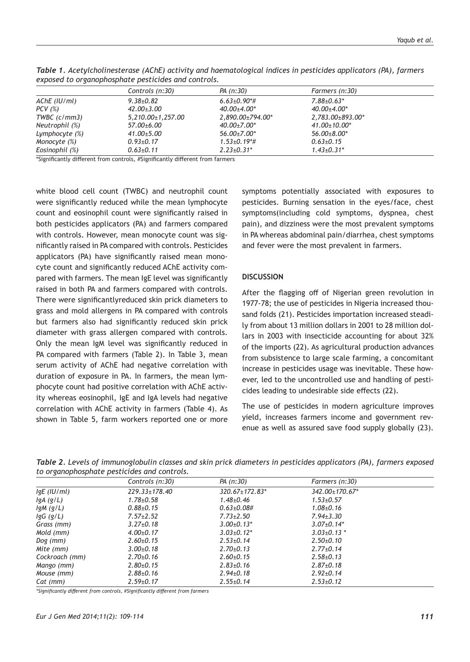| expected to or gainepriceptions peculated and contact out |                         |                    |                     |  |  |
|-----------------------------------------------------------|-------------------------|--------------------|---------------------|--|--|
|                                                           | Controls (n:30)         | PA (n:30)          | Farmers (n:30)      |  |  |
| AChE (IU/ml)                                              | $9.38 + 0.82$           | $6.63{\pm}0.90*$ # | $7.88 \pm 0.63$ *   |  |  |
| PCV (%)                                                   | 42.00±3.00              | $40.00 + 4.00*$    | $40.00 \pm 4.00^*$  |  |  |
| TWBC (c/mm3)                                              | $5,210.00 \pm 1,257.00$ | 2.890.00±794.00*   | 2.783.00±893.00*    |  |  |
| Neutrophil (%)                                            | 57.00±6.00              | $40.00 \pm 7.00^*$ | $41.00 \pm 10.00^*$ |  |  |
| Lymphocyte (%)                                            | 41.00±5.00              | $56.00 \pm 7.00^*$ | 56.00±8.00*         |  |  |
| Monocyte (%)                                              | $0.93 \pm 0.17$         | $1.53{\pm}0.19*$ # | $0.63{\pm}0.15$     |  |  |
| Eosinophil (%)                                            | $0.63{\pm}0.11$         | $2.23 \pm 0.31$ *  | $1.43 \pm 0.31$ *   |  |  |

*Table 1. Acetylcholinesterase (AChE) activity and haematological indices in pesticides applicators (PA), farmers exposed to organophosphate pesticides and controls.*

\*Significantly different from controls, #Significantly different from farmers

white blood cell count (TWBC) and neutrophil count were significantly reduced while the mean lymphocyte count and eosinophil count were significantly raised in both pesticides applicators (PA) and farmers compared with controls. However, mean monocyte count was significantly raised in PA compared with controls. Pesticides applicators (PA) have significantly raised mean monocyte count and significantly reduced AChE activity compared with farmers. The mean IgE level was significantly raised in both PA and farmers compared with controls. There were significantlyreduced skin prick diameters to grass and mold allergens in PA compared with controls but farmers also had significantly reduced skin prick diameter with grass allergen compared with controls. Only the mean IgM level was significantly reduced in PA compared with farmers (Table 2). In Table 3, mean serum activity of AChE had negative correlation with duration of exposure in PA. In farmers, the mean lymphocyte count had positive correlation with AChE activity whereas eosinophil, IgE and IgA levels had negative correlation with AChE activity in farmers (Table 4). As shown in Table 5, farm workers reported one or more

symptoms potentially associated with exposures to pesticides. Burning sensation in the eyes/face, chest symptoms(including cold symptoms, dyspnea, chest pain), and dizziness were the most prevalent symptoms in PA whereas abdominal pain/diarrhea, chest symptoms and fever were the most prevalent in farmers.

#### **DISCUSSION**

After the flagging off of Nigerian green revolution in 1977-78; the use of pesticides in Nigeria increased thousand folds (21). Pesticides importation increased steadily from about 13 million dollars in 2001 to 28 million dollars in 2003 with insecticide accounting for about 32% of the imports (22). As agricultural production advances from subsistence to large scale farming, a concomitant increase in pesticides usage was inevitable. These however, led to the uncontrolled use and handling of pesticides leading to undesirable side effects (22).

The use of pesticides in modern agriculture improves yield, increases farmers income and government revenue as well as assured save food supply globally (23).

*Table 2. Levels of immunoglobulin classes and skin prick diameters in pesticides applicators (PA), farmers exposed to organophosphate pesticides and controls.*

| <u>ے</u><br>$\mathbf{r}$ |                     |                                  |                   |  |  |
|--------------------------|---------------------|----------------------------------|-------------------|--|--|
|                          | Controls (n:30)     | PA (n:30)                        | Farmers (n:30)    |  |  |
| $lgE$ (IU/ml)            | $229.33 \pm 178.40$ | $320.67 \pm 172.83$ <sup>*</sup> | 342.00±170.67*    |  |  |
| lgA(g/L)                 | $1.78 \pm 0.58$     | $1.48 + 0.46$                    | $1.53 \pm 0.57$   |  |  |
| $lgM$ (g/L)              | $0.88 \pm 0.15$     | $0.63 \pm 0.08 \#$               | $1.08 \pm 0.16$   |  |  |
| $lgG$ (g/L)              | $7.57 + 2.52$       | $7.73 + 2.50$                    | $7.94 \pm 3.30$   |  |  |
| Grass (mm)               | $3.27 \pm 0.18$     | $3.00+0.13*$                     | $3.07 \pm 0.14*$  |  |  |
| Mold (mm)                | $4.00 \pm 0.17$     | $3.03{\pm}0.12*$                 | $3.03 \pm 0.13$ * |  |  |
| $Dog$ (mm)               | $2.60 \pm 0.15$     | $2.53+0.14$                      | $2.50+0.10$       |  |  |
| Mite (mm)                | $3.00{\pm}0.18$     | $2.70{\pm}0.13$                  | $2.77+0.14$       |  |  |
| Cockroach (mm)           | $2.70{\pm}0.16$     | $2.60+0.15$                      | $2.58 + 0.13$     |  |  |
| Mango (mm)               | $2.80 \pm 0.15$     | $2.83 \pm 0.16$                  | $2.87+0.18$       |  |  |
| Mouse (mm)               | $2.88 \pm 0.16$     | $2.94 \pm 0.18$                  | $2.92 \pm 0.14$   |  |  |
| Cat (mm)                 | $2.59 + 0.17$       | $2.55+0.14$                      | $2.53+0.12$       |  |  |

*\*Significantly different from controls, #Significantly different from farmers*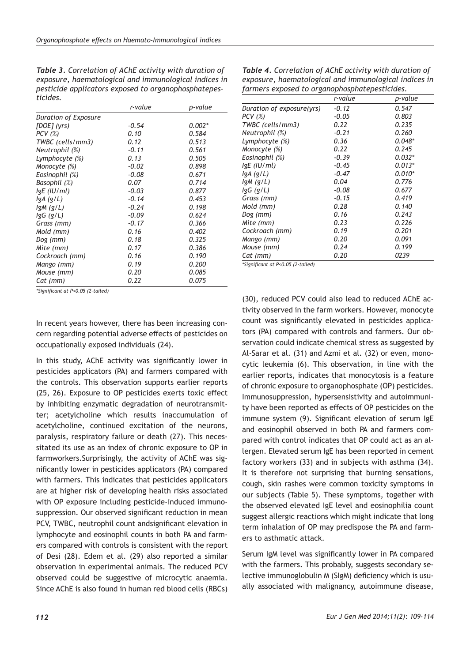*Table 3. Correlation of AChE activity with duration of exposure, haematological and immunological indices in pesticide applicators exposed to organophosphatepesticides.*

|                      | r-value | p-value  |
|----------------------|---------|----------|
| Duration of Exposure |         |          |
| [DOE] (yrs)          | $-0.54$ | $0.002*$ |
| $PCV$ (%)            | 0.10    | 0.584    |
| TWBC (cells/mm3)     | 0.12    | 0.513    |
| Neutrophil (%)       | $-0.11$ | 0.561    |
| Lymphocyte (%)       | 0.13    | 0.505    |
| Monocyte (%)         | $-0.02$ | 0.898    |
| Eosinophil (%)       | $-0.08$ | 0.671    |
| Basophil (%)         | 0.07    | 0.714    |
| IgE (IU/ml)          | $-0.03$ | 0.877    |
| lgA (g/L)            | $-0.14$ | 0.453    |
| $lgM$ (g/L)          | $-0.24$ | 0.198    |
| $lgG$ (g/L)          | $-0.09$ | 0.624    |
| Grass (mm)           | $-0.17$ | 0.366    |
| Mold (mm)            | 0.16    | 0.402    |
| Dog (mm)             | 0.18    | 0.325    |
| Mite (mm)            | 0.17    | 0.386    |
| Cockroach (mm)       | 0.16    | 0.190    |
| Mango (mm)           | 0.19    | 0.200    |
| Mouse (mm)           | 0.20    | 0.085    |
| Cat (mm)             | 0.22    | 0.075    |

*\*Significant at P<0.05 (2-tailed)*

In recent years however, there has been increasing concern regarding potential adverse effects of pesticides on occupationally exposed individuals (24).

In this study, AChE activity was significantly lower in pesticides applicators (PA) and farmers compared with the controls. This observation supports earlier reports (25, 26). Exposure to OP pesticides exerts toxic effect by inhibiting enzymatic degradation of neurotransmitter; acetylcholine which results inaccumulation of acetylcholine, continued excitation of the neurons, paralysis, respiratory failure or death (27). This necessitated its use as an index of chronic exposure to OP in farmworkers.Surprisingly, the activity of AChE was significantly lower in pesticides applicators (PA) compared with farmers. This indicates that pesticides applicators are at higher risk of developing health risks associated with OP exposure including pesticide-induced immunosuppression. Our observed significant reduction in mean PCV, TWBC, neutrophil count andsignificant elevation in lymphocyte and eosinophil counts in both PA and farmers compared with controls is consistent with the report of Desi (28). Edem et al. (29) also reported a similar observation in experimental animals. The reduced PCV observed could be suggestive of microcytic anaemia. Since AChE is also found in human red blood cells (RBCs)

*Table 4. Correlation of AChE activity with duration of exposure, haematological and immunological indices in farmers exposed to organophosphatepesticides.*

|                           | r-value | p-value  |
|---------------------------|---------|----------|
| Duration of exposure(yrs) | $-0.12$ | 0.547    |
| PCV (%)                   | $-0.05$ | 0.803    |
| TWBC (cells/mm3)          | 0.22    | 0.235    |
| Neutrophil (%)            | $-0.21$ | 0.260    |
| Lymphocyte (%)            | 0.36    | $0.048*$ |
| Monocyte (%)              | 0.22    | 0.245    |
| Eosinophil (%)            | $-0.39$ | $0.032*$ |
| IgE (IU/ml)               | $-0.45$ | $0.013*$ |
| IgA(g/L)                  | $-0.47$ | $0.010*$ |
| IgM (g/L)                 | 0.04    | 0.776    |
| IgG (g/L)                 | $-0.08$ | 0.677    |
| Grass (mm)                | $-0.15$ | 0.419    |
| Mold (mm)                 | 0.28    | 0.140    |
| Dog (mm)                  | 0.16    | 0.243    |
| Mite (mm)                 | 0.23    | 0.226    |
| Cockroach (mm)            | 0.19    | 0.201    |
| Mango (mm)                | 0.20    | 0.091    |
| Mouse (mm)                | 0.24    | 0.199    |
| Cat (mm)                  | 0.20    | 0239     |

*\*Significant at P<0.05 (2-tailed)*

(30), reduced PCV could also lead to reduced AChE activity observed in the farm workers. However, monocyte count was significantly elevated in pesticides applicators (PA) compared with controls and farmers. Our observation could indicate chemical stress as suggested by Al-Sarar et al. (31) and Azmi et al. (32) or even, monocytic leukemia (6). This observation, in line with the earlier reports, indicates that monocytosis is a feature of chronic exposure to organophosphate (OP) pesticides. Immunosuppression, hypersensistivity and autoimmunity have been reported as effects of OP pesticides on the immune system (9). Significant elevation of serum IgE and eosinophil observed in both PA and farmers compared with control indicates that OP could act as an allergen. Elevated serum IgE has been reported in cement factory workers (33) and in subjects with asthma (34). It is therefore not surprising that burning sensations, cough, skin rashes were common toxicity symptoms in our subjects (Table 5). These symptoms, together with the observed elevated IgE level and eosinophilia count suggest allergic reactions which might indicate that long term inhalation of OP may predispose the PA and farmers to asthmatic attack.

Serum IgM level was significantly lower in PA compared with the farmers. This probably, suggests secondary selective immunoglobulin M (SIgM) deficiency which is usually associated with malignancy, autoimmune disease,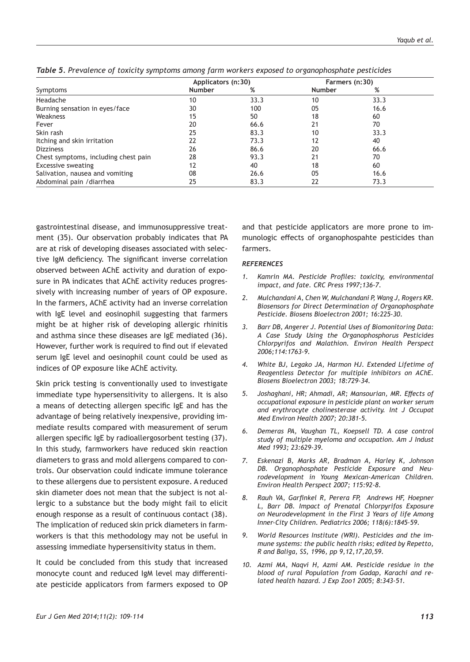|                                      | Applicators (n:30) |      | Farmers (n:30) |      |  |
|--------------------------------------|--------------------|------|----------------|------|--|
| Symptoms                             | Number             | %    | Number         | %    |  |
| Headache                             | 10                 | 33.3 | 10             | 33.3 |  |
| Burning sensation in eyes/face       | 30                 | 100  | 05             | 16.6 |  |
| Weakness                             | 15                 | 50   | 18             | 60   |  |
| Fever                                | 20                 | 66.6 | 21             | 70   |  |
| Skin rash                            | 25                 | 83.3 | 10             | 33.3 |  |
| Itching and skin irritation          | 22                 | 73.3 | 12             | 40   |  |
| <b>Dizziness</b>                     | 26                 | 86.6 | 20             | 66.6 |  |
| Chest symptoms, including chest pain | 28                 | 93.3 | 21             | 70   |  |
| <b>Excessive sweating</b>            | 12                 | 40   | 18             | 60   |  |
| Salivation, nausea and vomiting      | 08                 | 26.6 | 05             | 16.6 |  |
| Abdominal pain / diarrhea            | 25                 | 83.3 | 22             | 73.3 |  |

*Table 5. Prevalence of toxicity symptoms among farm workers exposed to organophosphate pesticides*

gastrointestinal disease, and immunosuppressive treatment (35). Our observation probably indicates that PA are at risk of developing diseases associated with selective IgM deficiency. The significant inverse correlation observed between AChE activity and duration of exposure in PA indicates that AChE activity reduces progressively with increasing number of years of OP exposure. In the farmers, AChE activity had an inverse correlation with IgE level and eosinophil suggesting that farmers might be at higher risk of developing allergic rhinitis and asthma since these diseases are IgE mediated (36). However, further work is required to find out if elevated serum IgE level and oesinophil count could be used as indices of OP exposure like AChE activity.

Skin prick testing is conventionally used to investigate immediate type hypersensitivity to allergens. It is also a means of detecting allergen specific IgE and has the advantage of being relatively inexpensive, providing immediate results compared with measurement of serum allergen specific IgE by radioallergosorbent testing (37). In this study, farmworkers have reduced skin reaction diameters to grass and mold allergens compared to controls. Our observation could indicate immune tolerance to these allergens due to persistent exposure. A reduced skin diameter does not mean that the subject is not allergic to a substance but the body might fail to elicit enough response as a result of continuous contact (38). The implication of reduced skin prick diameters in farmworkers is that this methodology may not be useful in assessing immediate hypersensitivity status in them.

It could be concluded from this study that increased monocyte count and reduced IgM level may differentiate pesticide applicators from farmers exposed to OP and that pesticide applicators are more prone to immunologic effects of organophospahte pesticides than farmers.

#### *REFERENCES*

- *1. Kamrin MA. Pesticide Profiles: toxicity, environmental impact, and fate. CRC Press 1997;136-7.*
- *2. Mulchandani A, Chen W, Mulchandani P, Wang J, Rogers KR. Biosensors for Direct Determination of Organophosphate Pesticide. Biosens Bioelectron 2001; 16:225-30.*
- *3. Barr DB, Angerer J. Potential Uses of Biomonitoring Data: A Case Study Using the Organophosphorus Pesticides Chlorpyrifos and Malathion. Environ Health Perspect 2006;114:1763-9.*
- *4. White BJ, Legako JA, Harmon HJ. Extended Lifetime of Reagentless Detector for multiple inhibitors on AChE. Biosens Bioelectron 2003; 18:729-34.*
- *5. Joshaghani, HR; Ahmadi, AR; Mansourian, MR. Effects of occupational exposure in pesticide plant on worker serum and erythrocyte cholinesterase activity. Int J Occupat Med Environ Health 2007; 20:381-5.*
- *6. Demeras PA, Vaughan TL, Koepsell TD. A case control study of multiple myeloma and occupation. Am J Indust Med 1993; 23:629-39.*
- *7. Eskenazi B, Marks AR, Bradman A, Harley K, Johnson DB. Organophosphate Pesticide Exposure and Neurodevelopment in Young Mexican-American Children. Environ Health Perspect 2007; 115:92-8.*
- *8. Rauh VA, Garfinkel R, Perera FP, Andrews HF, Hoepner L, Barr DB. Impact of Prenatal Chlorpyrifos Exposure on Neurodevelopment in the First 3 Years of life Among Inner-City Children. Pediatrics 2006; 118(6):1845–59.*
- *9. World Resources Institute (WRI). Pesticides and the immune systems: the public health risks; edited by Repetto, R and Baliga, SS, 1996, pp 9,12,17,20,59.*
- *10. Azmi MA, Naqvi H, Azmi AM. Pesticide residue in the blood of rural Population from Gadap, Karachi and related health hazard. J Exp Zoo1 2005; 8:343-51.*